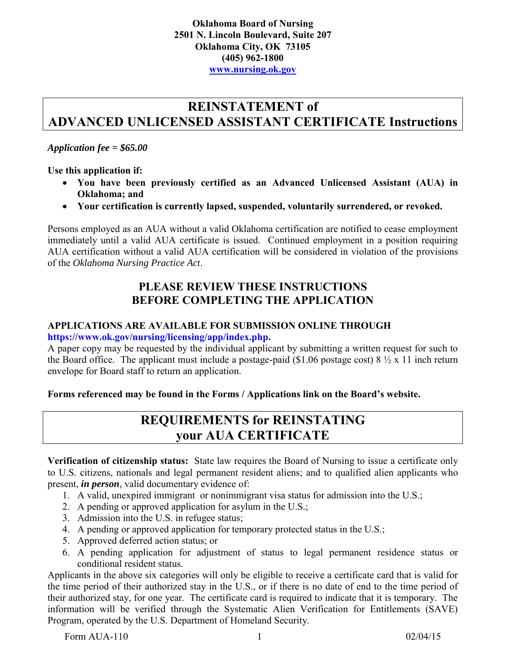## **REINSTATEMENT of ADVANCED UNLICENSED ASSISTANT CERTIFICATE Instructions**

#### *Application fee = \$65.00*

**Use this application if:** 

- **You have been previously certified as an Advanced Unlicensed Assistant (AUA) in Oklahoma; and**
- **Your certification is currently lapsed, suspended, voluntarily surrendered, or revoked.**

Persons employed as an AUA without a valid Oklahoma certification are notified to cease employment immediately until a valid AUA certificate is issued. Continued employment in a position requiring AUA certification without a valid AUA certification will be considered in violation of the provisions of the *Oklahoma Nursing Practice Act*.

### **PLEASE REVIEW THESE INSTRUCTIONS BEFORE COMPLETING THE APPLICATION**

#### **APPLICATIONS ARE AVAILABLE FOR SUBMISSION ONLINE THROUGH [https://www.ok.gov/nursing/licensing/app/index.php.](https://www.ok.gov/nursing/licensing/app/index.php)**

A paper copy may be requested by the individual applicant by submitting a written request for such to

the Board office. The applicant must include a postage-paid (\$1.06 postage cost)  $8\frac{1}{2} \times 11$  inch return envelope for Board staff to return an application.

**Forms referenced may be found in the Forms / Applications link on the Board's website.**

### **REQUIREMENTS for REINSTATING your AUA CERTIFICATE**

**Verification of citizenship status:** State law requires the Board of Nursing to issue a certificate only to U.S. citizens, nationals and legal permanent resident aliens; and to qualified alien applicants who present, *in person*, valid documentary evidence of:

- 1. A valid, unexpired immigrant or nonimmigrant visa status for admission into the U.S.;
- 2. A pending or approved application for asylum in the U.S.;
- 3. Admission into the U.S. in refugee status;
- 4. A pending or approved application for temporary protected status in the U.S.;
- 5. Approved deferred action status; or
- 6. A pending application for adjustment of status to legal permanent residence status or conditional resident status.

Applicants in the above six categories will only be eligible to receive a certificate card that is valid for the time period of their authorized stay in the U.S., or if there is no date of end to the time period of their authorized stay, for one year. The certificate card is required to indicate that it is temporary. The information will be verified through the Systematic Alien Verification for Entitlements (SAVE) Program, operated by the U.S. Department of Homeland Security.

Form AUA-110 1 02/04/15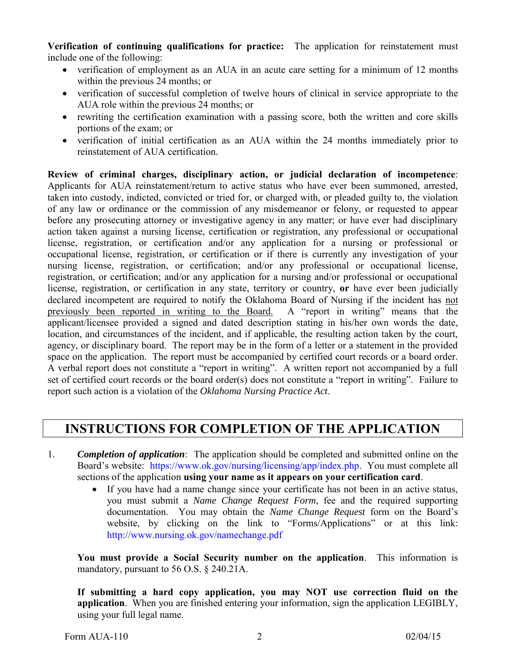**Verification of continuing qualifications for practice:** The application for reinstatement must include one of the following:

- verification of employment as an AUA in an acute care setting for a minimum of 12 months within the previous 24 months; or
- verification of successful completion of twelve hours of clinical in service appropriate to the AUA role within the previous 24 months; or
- rewriting the certification examination with a passing score, both the written and core skills portions of the exam; or
- verification of initial certification as an AUA within the 24 months immediately prior to reinstatement of AUA certification.

**Review of criminal charges, disciplinary action, or judicial declaration of incompetence**: Applicants for AUA reinstatement/return to active status who have ever been summoned, arrested, taken into custody, indicted, convicted or tried for, or charged with, or pleaded guilty to, the violation of any law or ordinance or the commission of any misdemeanor or felony, or requested to appear before any prosecuting attorney or investigative agency in any matter; or have ever had disciplinary action taken against a nursing license, certification or registration, any professional or occupational license, registration, or certification and/or any application for a nursing or professional or occupational license, registration, or certification or if there is currently any investigation of your nursing license, registration, or certification; and/or any professional or occupational license, registration, or certification; and/or any application for a nursing and/or professional or occupational license, registration, or certification in any state, territory or country, **or** have ever been judicially declared incompetent are required to notify the Oklahoma Board of Nursing if the incident has not previously been reported in writing to the Board. A "report in writing" means that the applicant/licensee provided a signed and dated description stating in his/her own words the date, location, and circumstances of the incident, and if applicable, the resulting action taken by the court, agency, or disciplinary board. The report may be in the form of a letter or a statement in the provided space on the application. The report must be accompanied by certified court records or a board order. A verbal report does not constitute a "report in writing". A written report not accompanied by a full set of certified court records or the board order(s) does not constitute a "report in writing". Failure to report such action is a violation of the *Oklahoma Nursing Practice Act*.

## **INSTRUCTIONS FOR COMPLETION OF THE APPLICATION**

- 1. *Completion of application*: The application should be completed and submitted online on the Board's website: [https://www.ok.gov/nursing/licensing/app/index.php.](https://www.ok.gov/nursing/licensing/app/index.php) You must complete all sections of the application **using your name as it appears on your certification card**.
	- If you have had a name change since your certificate has not been in an active status, you must submit a *Name Change Request Form*, fee and the required supporting documentation. You may obtain the *Name Change Request* form on the Board's website, by clicking on the link to "Forms/Applications" or at this link: [http://www.nursing.ok.gov/namechange.pdf](http://www.ok.gov/nursing/namechange.pdf)

**You must provide a Social Security number on the application**. This information is mandatory, pursuant to 56 O.S. § 240.21A.

**If submitting a hard copy application, you may NOT use correction fluid on the application**. When you are finished entering your information, sign the application LEGIBLY, using your full legal name.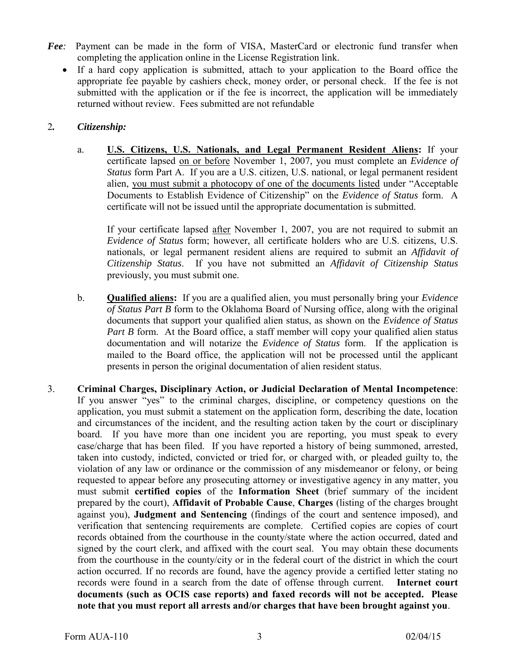- *Fee:* Payment can be made in the form of VISA, MasterCard or electronic fund transfer when completing the application online in the License Registration link.
	- If a hard copy application is submitted, attach to your application to the Board office the appropriate fee payable by cashiers check, money order, or personal check. If the fee is not submitted with the application or if the fee is incorrect, the application will be immediately returned without review. Fees submitted are not refundable

#### 2*. Citizenship:*

a. **U.S. Citizens, U.S. Nationals, and Legal Permanent Resident Aliens:** If your certificate lapsed on or before November 1, 2007, you must complete an *Evidence of Status* form Part A. If you are a U.S. citizen, U.S. national, or legal permanent resident alien, you must submit a photocopy of one of the documents listed under "Acceptable Documents to Establish Evidence of Citizenship" on the *Evidence of Status* form. A certificate will not be issued until the appropriate documentation is submitted.

If your certificate lapsed after November 1, 2007, you are not required to submit an *Evidence of Status* form; however, all certificate holders who are U.S. citizens, U.S. nationals, or legal permanent resident aliens are required to submit an *Affidavit of Citizenship Status*. If you have not submitted an *Affidavit of Citizenship Status* previously, you must submit one.

- b. **Qualified aliens:** If you are a qualified alien, you must personally bring your *Evidence of Status Part B* form to the Oklahoma Board of Nursing office, along with the original documents that support your qualified alien status, as shown on the *Evidence of Status Part B* form. At the Board office, a staff member will copy your qualified alien status documentation and will notarize the *Evidence of Status* form. If the application is mailed to the Board office, the application will not be processed until the applicant presents in person the original documentation of alien resident status.
- 3. **Criminal Charges, Disciplinary Action, or Judicial Declaration of Mental Incompetence**: If you answer "yes" to the criminal charges, discipline, or competency questions on the application, you must submit a statement on the application form, describing the date, location and circumstances of the incident, and the resulting action taken by the court or disciplinary board. If you have more than one incident you are reporting, you must speak to every case/charge that has been filed. If you have reported a history of being summoned, arrested, taken into custody, indicted, convicted or tried for, or charged with, or pleaded guilty to, the violation of any law or ordinance or the commission of any misdemeanor or felony, or being requested to appear before any prosecuting attorney or investigative agency in any matter, you must submit **certified copies** of the **Information Sheet** (brief summary of the incident prepared by the court), **Affidavit of Probable Cause**, **Charges** (listing of the charges brought against you), **Judgment and Sentencing** (findings of the court and sentence imposed), and verification that sentencing requirements are complete. Certified copies are copies of court records obtained from the courthouse in the county/state where the action occurred, dated and signed by the court clerk, and affixed with the court seal. You may obtain these documents from the courthouse in the county/city or in the federal court of the district in which the court action occurred. If no records are found, have the agency provide a certified letter stating no records were found in a search from the date of offense through current. **Internet court documents (such as OCIS case reports) and faxed records will not be accepted. Please note that you must report all arrests and/or charges that have been brought against you**.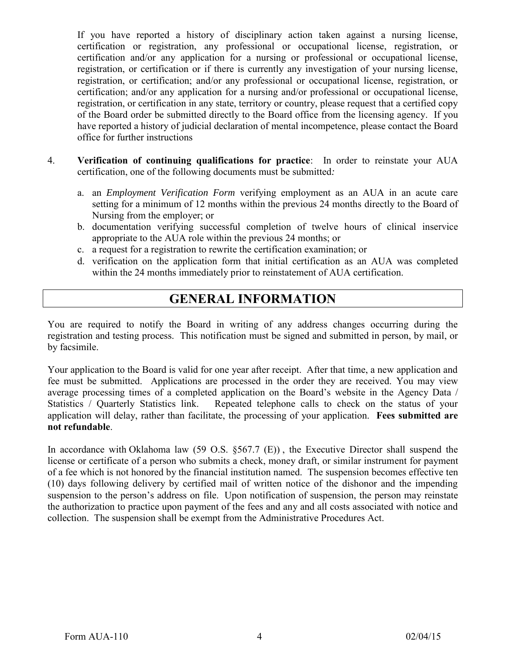If you have reported a history of disciplinary action taken against a nursing license, certification or registration, any professional or occupational license, registration, or certification and/or any application for a nursing or professional or occupational license, registration, or certification or if there is currently any investigation of your nursing license, registration, or certification; and/or any professional or occupational license, registration, or certification; and/or any application for a nursing and/or professional or occupational license, registration, or certification in any state, territory or country, please request that a certified copy of the Board order be submitted directly to the Board office from the licensing agency. If you have reported a history of judicial declaration of mental incompetence, please contact the Board office for further instructions

- 4. **Verification of continuing qualifications for practice**: In order to reinstate your AUA certification, one of the following documents must be submitted*:* 
	- a. an *Employment Verification Form* verifying employment as an AUA in an acute care setting for a minimum of 12 months within the previous 24 months directly to the Board of Nursing from the employer; or
	- b. documentation verifying successful completion of twelve hours of clinical inservice appropriate to the AUA role within the previous 24 months; or
	- c. a request for a registration to rewrite the certification examination; or
	- d. verification on the application form that initial certification as an AUA was completed within the 24 months immediately prior to reinstatement of AUA certification.

## **GENERAL INFORMATION**

You are required to notify the Board in writing of any address changes occurring during the registration and testing process. This notification must be signed and submitted in person, by mail, or by facsimile.

Your application to the Board is valid for one year after receipt. After that time, a new application and fee must be submitted. Applications are processed in the order they are received. You may view average processing times of a completed application on the Board's website in the Agency Data / Statistics / Quarterly Statistics link. Repeated telephone calls to check on the status of your application will delay, rather than facilitate, the processing of your application. **Fees submitted are not refundable**.

In accordance with Oklahoma law (59 O.S. §567.7 (E)), the Executive Director shall suspend the license or certificate of a person who submits a check, money draft, or similar instrument for payment of a fee which is not honored by the financial institution named. The suspension becomes effective ten (10) days following delivery by certified mail of written notice of the dishonor and the impending suspension to the person's address on file. Upon notification of suspension, the person may reinstate the authorization to practice upon payment of the fees and any and all costs associated with notice and collection. The suspension shall be exempt from the Administrative Procedures Act.